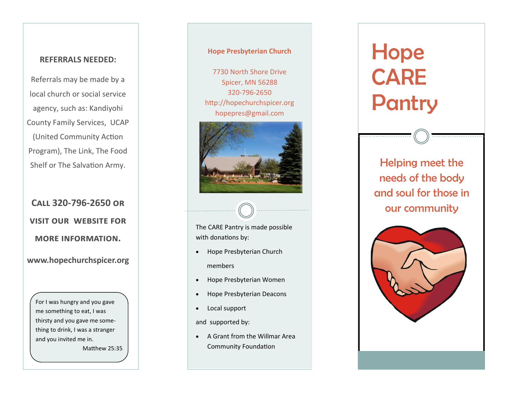#### **REFERRALS NEEDED:**

Referrals may be made by a local church or social service agency, such as: Kandiyohi County Family Services, UCAP (United Community Action Program), The Link, The Food Shelf or The Salvation Army.

## **Call 320 -796 -2650 or visit our website for more information.**

**www.hopechurchspicer.org**

For I was hungry and you gave me something to eat, I was thirsty and you gave me something to drink, I was a stranger and you invited me in.

Matthew 25:35

#### **Hope Presbyterian Church**

7730 North Shore Drive Spicer, MN 56288 320 -796 -2650 http://hopechurchspicer.org hopepres@gmail.com



The CARE Pantry is made possible with donations by:

- Hope Presbyterian Church members
- Hope Presbyterian Women
- Hope Presbyterian Deacons
- Local support

and supported by:

• A Grant from the Willmar Area Community Foundation

# Hope CARE Pantry

Helping meet the needs of the body and soul for those in our community